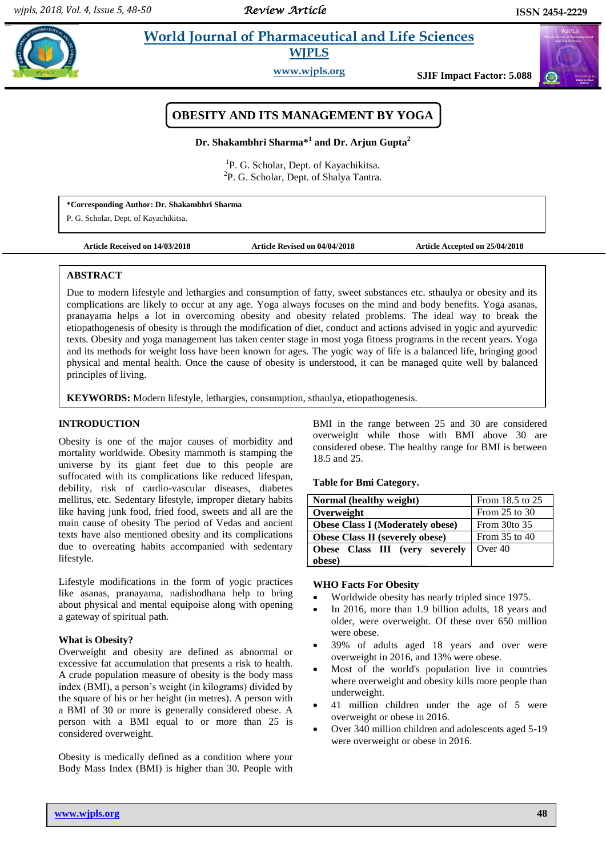# **Example 3 <b>World Journal of Pharmaceutical and Life Sciences WJPLS**

**www.wjpls.org SJIF Impact Factor: 5.088**



**Dr. Shakambhri Sharma\*<sup>1</sup> and Dr. Arjun Gupta<sup>2</sup>**

<sup>1</sup>P. G. Scholar, Dept. of Kayachikitsa. <sup>2</sup>P. G. Scholar, Dept. of Shalya Tantra.

**\*Corresponding Author: Dr. Shakambhri Sharma**

P. G. Scholar, Dept. of Kayachikitsa.

**Article Received on 14/03/2018 Article Revised on 04/04/2018 Article Accepted on 25/04/2018**

# **ABSTRACT**

complications are likely to occur at any age. Yoga always focuses on the mind and body benefits. Yoga asanas, Due to modern lifestyle and lethargies and consumption of fatty, sweet substances etc. sthaulya or obesity and its pranayama helps a lot in overcoming obesity and obesity related problems. The ideal way to break the etiopathogenesis of obesity is through the modification of diet, conduct and actions advised in yogic and ayurvedic texts. Obesity and yoga management has taken center stage in most yoga fitness programs in the recent years. Yoga and its methods for weight loss have been known for ages. The yogic way of life is a balanced life, bringing good physical and mental health. Once the cause of obesity is understood, it can be managed quite well by balanced principles of living.

**KEYWORDS:** Modern lifestyle, lethargies, consumption, sthaulya, etiopathogenesis.

# **INTRODUCTION**

Obesity is one of the major causes of morbidity and mortality worldwide. Obesity mammoth is stamping the universe by its giant feet due to this people are suffocated with its complications like reduced lifespan, debility, risk of cardio-vascular diseases, diabetes mellitus, etc. Sedentary lifestyle, improper dietary habits like having junk food, fried food, sweets and all are the main cause of obesity The period of Vedas and ancient texts have also mentioned obesity and its complications due to overeating habits accompanied with sedentary lifestyle.

Lifestyle modifications in the form of yogic practices like asanas, pranayama, nadishodhana help to bring about physical and mental equipoise along with opening a gateway of spiritual path.

# **What is Obesity?**

Overweight and obesity are defined as abnormal or excessive fat accumulation that presents a risk to health. A crude population measure of obesity is the body mass index (BMI), a person's weight (in kilograms) divided by the square of his or her height (in metres). A person with a BMI of 30 or more is generally considered obese. A person with a BMI equal to or more than 25 is considered overweight.

Obesity is medically defined as a condition where your Body Mass Index (BMI) is higher than 30. People with BMI in the range between 25 and 30 are considered overweight while those with BMI above 30 are considered obese. The healthy range for BMI is between 18.5 and 25.

**Table for Bmi Category.**

| Normal (healthy weight)                 | From 18.5 to 25   |
|-----------------------------------------|-------------------|
| Overweight                              | From $25$ to $30$ |
| <b>Obese Class I (Moderately obese)</b> | From 30to 35      |
| <b>Obese Class II (severely obese)</b>  | From $35$ to $40$ |
| Obese Class III (very severely          | Over 40           |
| obese)                                  |                   |

# **WHO Facts For Obesity**

- Worldwide obesity has nearly tripled since 1975.
- In 2016, more than 1.9 billion adults, 18 years and older, were overweight. Of these over 650 million were obese.
- 39% of adults aged 18 years and over were overweight in 2016, and 13% were obese.
- Most of the world's population live in countries where overweight and obesity kills more people than underweight.
- 41 million children under the age of 5 were overweight or obese in 2016.
- Over 340 million children and adolescents aged 5-19 were overweight or obese in 2016.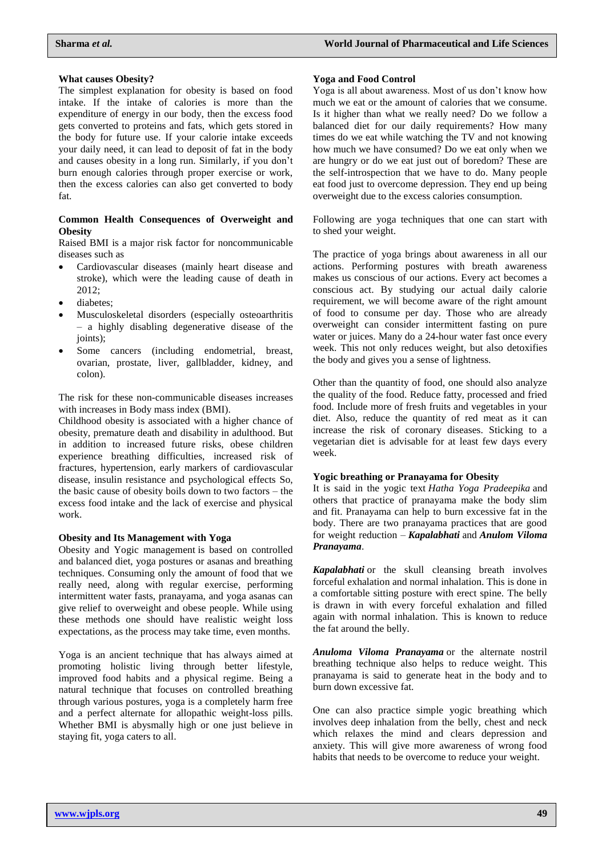## **What causes Obesity?**

The simplest explanation for obesity is based on food intake. If the intake of calories is more than the expenditure of energy in our body, then the excess food gets converted to proteins and fats, which gets stored in the body for future use. If your calorie intake exceeds your daily need, it can lead to deposit of fat in the body and causes obesity in a long run. Similarly, if you don't burn enough calories through proper exercise or work, then the excess calories can also get converted to body fat.

## **Common Health Consequences of Overweight and Obesity**

Raised BMI is a major risk factor for noncommunicable diseases such as

- Cardiovascular diseases (mainly heart disease and stroke), which were the leading cause of death in 2012;
- diabetes;
- Musculoskeletal disorders (especially osteoarthritis – a highly disabling degenerative disease of the joints);
- Some cancers (including endometrial, breast, ovarian, prostate, liver, gallbladder, kidney, and colon).

The risk for these non-communicable diseases increases with increases in Body mass index (BMI).

Childhood obesity is associated with a higher chance of obesity, premature death and disability in adulthood. But in addition to increased future risks, obese children experience breathing difficulties, increased risk of fractures, hypertension, early markers of cardiovascular disease, insulin resistance and psychological effects So, the basic cause of obesity boils down to two factors – the excess food intake and the lack of exercise and physical work.

#### **Obesity and Its Management with Yoga**

Obesity and Yogic management is based on controlled and balanced diet, yoga postures or asanas and breathing techniques. Consuming only the amount of food that we really need, along with regular exercise, performing intermittent water fasts, pranayama, and yoga asanas can give relief to overweight and obese people. While using these methods one should have realistic weight loss expectations, as the process may take time, even months.

Yoga is an ancient technique that has always aimed at promoting holistic living through better lifestyle, improved food habits and a physical regime. Being a natural technique that focuses on controlled breathing through various postures, yoga is a completely harm free and a perfect alternate for allopathic weight-loss pills. Whether BMI is abysmally high or one just believe in staying fit, yoga caters to all.

### **Yoga and Food Control**

Yoga is all about awareness. Most of us don't know how much we eat or the amount of calories that we consume. Is it higher than what we really need? Do we follow a balanced diet for our daily requirements? How many times do we eat while watching the TV and not knowing how much we have consumed? Do we eat only when we are hungry or do we eat just out of boredom? These are the self-introspection that we have to do. Many people eat food just to overcome depression. They end up being overweight due to the excess calories consumption.

Following are yoga techniques that one can start with to shed [your weight.](https://www.artofliving.org/in-en/yoga/health-and-wellness/yoga-weight-loss)

The practice of yoga brings about awareness in all our actions. Performing postures with breath awareness makes us conscious of our actions. Every act becomes a conscious act. By studying our actual daily calorie requirement, we will become aware of the right amount of food to consume per day. Those who are already overweight can consider intermittent fasting on pure water or juices. Many do a [24-hour](http://www.yogicwayoflife.com/one-day-water-fast-and-its-benefits/) water fast once every week. This not only reduces weight, but also detoxifies the body and gives you a sense of lightness.

Other than the quantity of food, one should also analyze the quality of the food. Reduce fatty, processed and fried food. Include more of fresh fruits and vegetables in your diet. Also, reduce the quantity of red meat as it can increase the risk of coronary diseases. Sticking to a vegetarian diet is advisable for at least few days every week.

# **Yogic breathing or Pranayama for Obesity**

It is said in the yogic text *Hatha Yoga Pradeepika* and others that practice of pranayama make the body slim and fit. Pranayama can help to burn excessive fat in the body. There are two pranayama practices that are good for weight reduction – *Kapalabhati* and *Anulom Viloma Pranayama*.

*[Kapalabhati](http://www.yogicwayoflife.com/kapalbhati-pranayama-skull-shining-breathing-excercise/)* or the skull cleansing breath involves forceful exhalation and normal inhalation. This is done in a comfortable sitting posture with erect spine. The belly is drawn in with every forceful exhalation and filled again with normal inhalation. This is known to reduce the fat around the belly.

*Anuloma Viloma [Pranayama](http://www.yogicwayoflife.com/anulom-vilom-pranayama-alternate-nostril-breathing/)* or the alternate nostril breathing technique also helps to reduce weight. This pranayama is said to generate heat in the body and to burn down excessive fat.

One can also practice simple yogic breathing which involves deep inhalation from the belly, chest and neck which relaxes the mind and clears depression and anxiety. This will give more awareness of wrong food habits that needs to be overcome to reduce your weight.